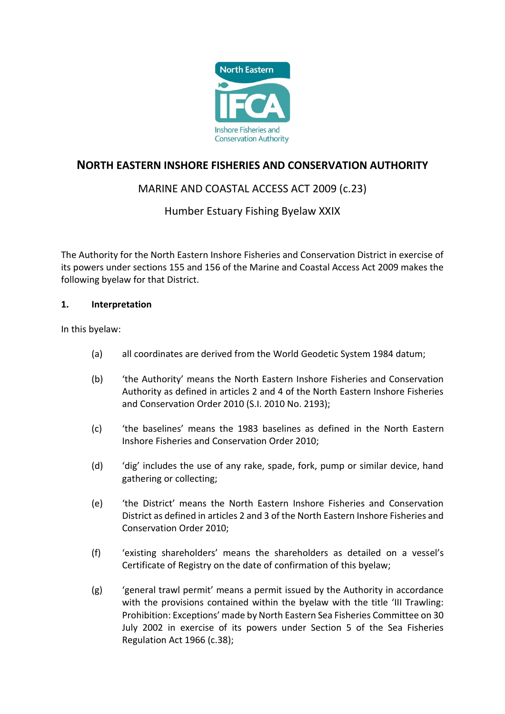

# **NORTH EASTERN INSHORE FISHERIES AND CONSERVATION AUTHORITY**

# MARINE AND COASTAL ACCESS ACT 2009 (c.23)

## Humber Estuary Fishing Byelaw XXIX

The Authority for the North Eastern Inshore Fisheries and Conservation District in exercise of its powers under sections 155 and 156 of the Marine and Coastal Access Act 2009 makes the following byelaw for that District.

#### **1. Interpretation**

In this byelaw:

- (a) all coordinates are derived from the World Geodetic System 1984 datum;
- (b) 'the Authority' means the North Eastern Inshore Fisheries and Conservation Authority as defined in articles 2 and 4 of the North Eastern Inshore Fisheries and Conservation Order 2010 (S.I. 2010 No. 2193);
- (c) 'the baselines' means the 1983 baselines as defined in the North Eastern Inshore Fisheries and Conservation Order 2010;
- (d) 'dig' includes the use of any rake, spade, fork, pump or similar device, hand gathering or collecting;
- (e) 'the District' means the North Eastern Inshore Fisheries and Conservation District as defined in articles 2 and 3 of the North Eastern Inshore Fisheries and Conservation Order 2010;
- (f) 'existing shareholders' means the shareholders as detailed on a vessel's Certificate of Registry on the date of confirmation of this byelaw;
- (g) 'general trawl permit' means a permit issued by the Authority in accordance with the provisions contained within the byelaw with the title 'III Trawling: Prohibition: Exceptions' made by North Eastern Sea Fisheries Committee on 30 July 2002 in exercise of its powers under Section 5 of the Sea Fisheries Regulation Act 1966 (c.38);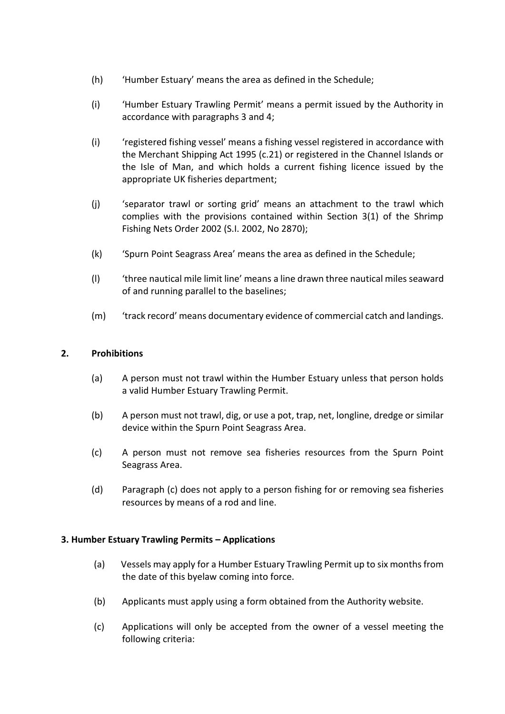- (h) 'Humber Estuary' means the area as defined in the Schedule;
- (i) 'Humber Estuary Trawling Permit' means a permit issued by the Authority in accordance with paragraphs 3 and 4;
- (i) 'registered fishing vessel' means a fishing vessel registered in accordance with the Merchant Shipping Act 1995 (c.21) or registered in the Channel Islands or the Isle of Man, and which holds a current fishing licence issued by the appropriate UK fisheries department;
- (j) 'separator trawl or sorting grid' means an attachment to the trawl which complies with the provisions contained within Section 3(1) of the Shrimp Fishing Nets Order 2002 (S.I. 2002, No 2870);
- (k) 'Spurn Point Seagrass Area' means the area as defined in the Schedule;
- (l) 'three nautical mile limit line' means a line drawn three nautical miles seaward of and running parallel to the baselines;
- (m) 'track record' means documentary evidence of commercial catch and landings.

#### **2. Prohibitions**

- (a) A person must not trawl within the Humber Estuary unless that person holds a valid Humber Estuary Trawling Permit.
- (b) A person must not trawl, dig, or use a pot, trap, net, longline, dredge or similar device within the Spurn Point Seagrass Area.
- (c) A person must not remove sea fisheries resources from the Spurn Point Seagrass Area.
- (d) Paragraph (c) does not apply to a person fishing for or removing sea fisheries resources by means of a rod and line.

#### **3. Humber Estuary Trawling Permits – Applications**

- (a) Vessels may apply for a Humber Estuary Trawling Permit up to six months from the date of this byelaw coming into force.
- (b) Applicants must apply using a form obtained from the Authority website.
- (c) Applications will only be accepted from the owner of a vessel meeting the following criteria: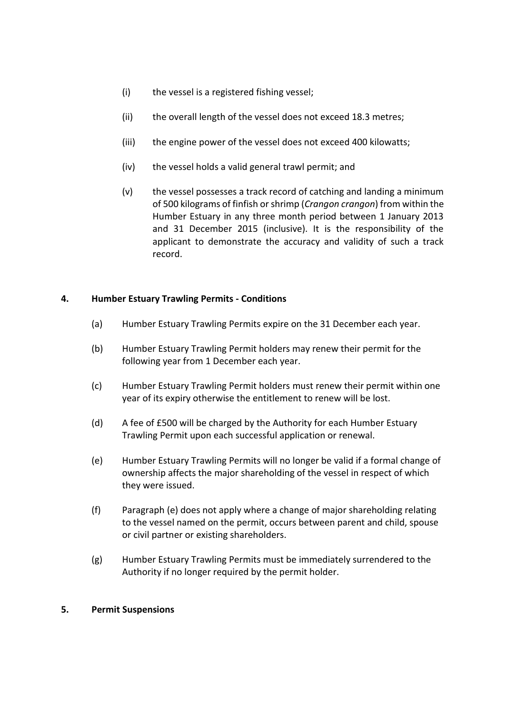- (i) the vessel is a registered fishing vessel;
- (ii) the overall length of the vessel does not exceed 18.3 metres;
- (iii) the engine power of the vessel does not exceed 400 kilowatts;
- (iv) the vessel holds a valid general trawl permit; and
- (v) the vessel possesses a track record of catching and landing a minimum of 500 kilograms of finfish or shrimp (*Crangon crangon*) from within the Humber Estuary in any three month period between 1 January 2013 and 31 December 2015 (inclusive). It is the responsibility of the applicant to demonstrate the accuracy and validity of such a track record.

#### **4. Humber Estuary Trawling Permits - Conditions**

- (a) Humber Estuary Trawling Permits expire on the 31 December each year.
- (b) Humber Estuary Trawling Permit holders may renew their permit for the following year from 1 December each year.
- (c) Humber Estuary Trawling Permit holders must renew their permit within one year of its expiry otherwise the entitlement to renew will be lost.
- (d) A fee of £500 will be charged by the Authority for each Humber Estuary Trawling Permit upon each successful application or renewal.
- (e) Humber Estuary Trawling Permits will no longer be valid if a formal change of ownership affects the major shareholding of the vessel in respect of which they were issued.
- (f) Paragraph (e) does not apply where a change of major shareholding relating to the vessel named on the permit, occurs between parent and child, spouse or civil partner or existing shareholders.
- (g) Humber Estuary Trawling Permits must be immediately surrendered to the Authority if no longer required by the permit holder.

#### **5. Permit Suspensions**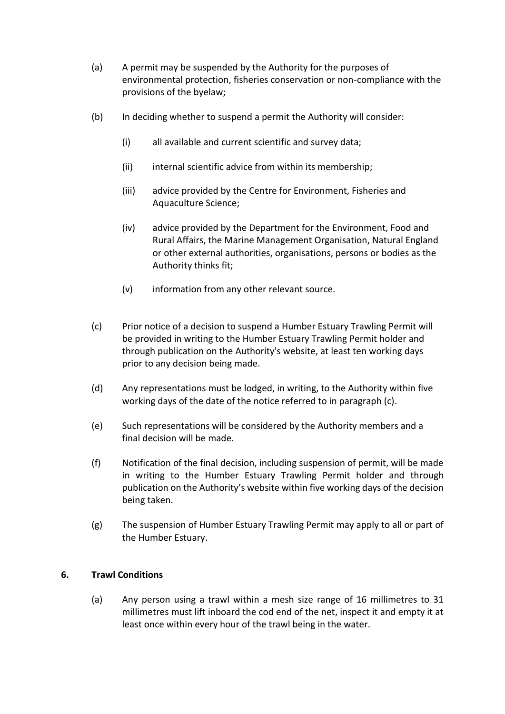- (a) A permit may be suspended by the Authority for the purposes of environmental protection, fisheries conservation or non-compliance with the provisions of the byelaw;
- (b) In deciding whether to suspend a permit the Authority will consider:
	- (i) all available and current scientific and survey data;
	- (ii) internal scientific advice from within its membership;
	- (iii) advice provided by the Centre for Environment, Fisheries and Aquaculture Science;
	- (iv) advice provided by the Department for the Environment, Food and Rural Affairs, the Marine Management Organisation, Natural England or other external authorities, organisations, persons or bodies as the Authority thinks fit;
	- (v) information from any other relevant source.
- (c) Prior notice of a decision to suspend a Humber Estuary Trawling Permit will be provided in writing to the Humber Estuary Trawling Permit holder and through publication on the Authority's website, at least ten working days prior to any decision being made.
- (d) Any representations must be lodged, in writing, to the Authority within five working days of the date of the notice referred to in paragraph (c).
- (e) Such representations will be considered by the Authority members and a final decision will be made.
- (f) Notification of the final decision, including suspension of permit, will be made in writing to the Humber Estuary Trawling Permit holder and through publication on the Authority's website within five working days of the decision being taken.
- (g) The suspension of Humber Estuary Trawling Permit may apply to all or part of the Humber Estuary.

## **6. Trawl Conditions**

(a) Any person using a trawl within a mesh size range of 16 millimetres to 31 millimetres must lift inboard the cod end of the net, inspect it and empty it at least once within every hour of the trawl being in the water.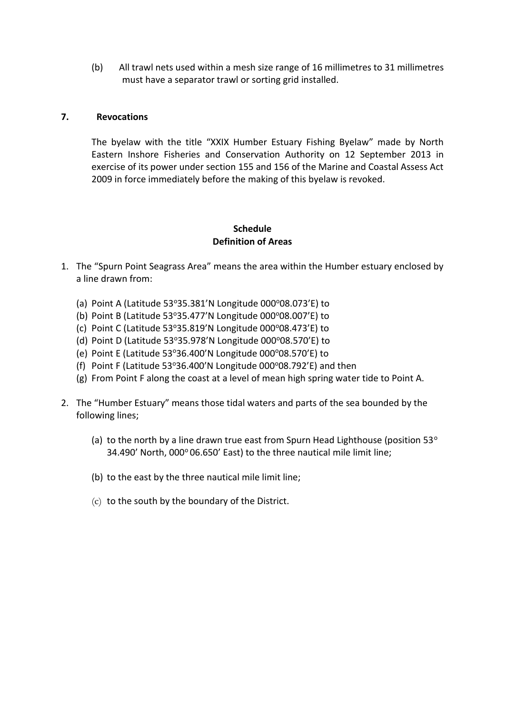(b) All trawl nets used within a mesh size range of 16 millimetres to 31 millimetres must have a separator trawl or sorting grid installed.

#### **7. Revocations**

The byelaw with the title "XXIX Humber Estuary Fishing Byelaw" made by North Eastern Inshore Fisheries and Conservation Authority on 12 September 2013 in exercise of its power under section 155 and 156 of the Marine and Coastal Assess Act 2009 in force immediately before the making of this byelaw is revoked.

## **Schedule Definition of Areas**

- 1. The "Spurn Point Seagrass Area" means the area within the Humber estuary enclosed by a line drawn from:
	- (a) Point A (Latitude  $53^{\circ}35.381'$ N Longitude  $000^{\circ}08.073'$ E) to
	- (b) Point B (Latitude  $53^{\circ}35.477'$ N Longitude  $000^{\circ}08.007'$ E) to
	- (c) Point C (Latitude 53°35.819'N Longitude 000°08.473'E) to
	- (d) Point D (Latitude 53°35.978'N Longitude  $000^{\circ}08.570'$ E) to
	- (e) Point E (Latitude  $53^{\circ}36.400'$ N Longitude  $000^{\circ}08.570'E$ ) to
	- (f) Point F (Latitude 53°36.400'N Longitude 000°08.792'E) and then
	- (g) From Point F along the coast at a level of mean high spring water tide to Point A.
- 2. The "Humber Estuary" means those tidal waters and parts of the sea bounded by the following lines;
	- (a) to the north by a line drawn true east from Spurn Head Lighthouse (position  $53^\circ$ 34.490' North, 000° 06.650' East) to the three nautical mile limit line;
	- (b) to the east by the three nautical mile limit line;
	- (c) to the south by the boundary of the District.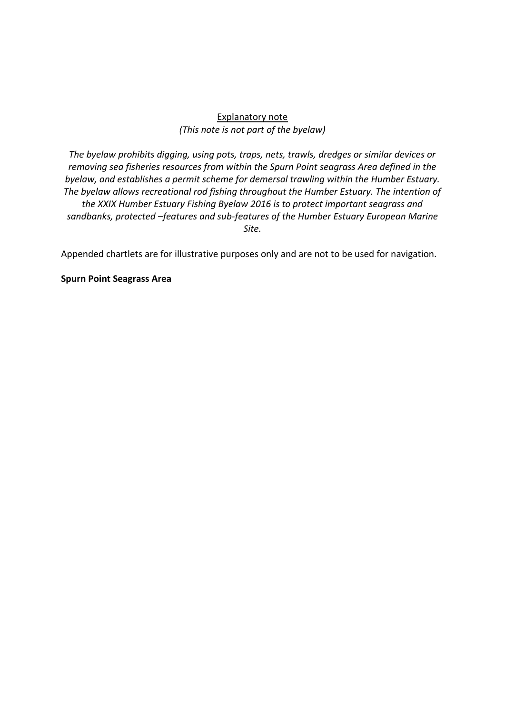## Explanatory note *(This note is not part of the byelaw)*

*The byelaw prohibits digging, using pots, traps, nets, trawls, dredges or similar devices or removing sea fisheries resources from within the Spurn Point seagrass Area defined in the byelaw, and establishes a permit scheme for demersal trawling within the Humber Estuary. The byelaw allows recreational rod fishing throughout the Humber Estuary. The intention of the XXIX Humber Estuary Fishing Byelaw 2016 is to protect important seagrass and sandbanks, protected –features and sub-features of the Humber Estuary European Marine Site.*

Appended chartlets are for illustrative purposes only and are not to be used for navigation.

**Spurn Point Seagrass Area**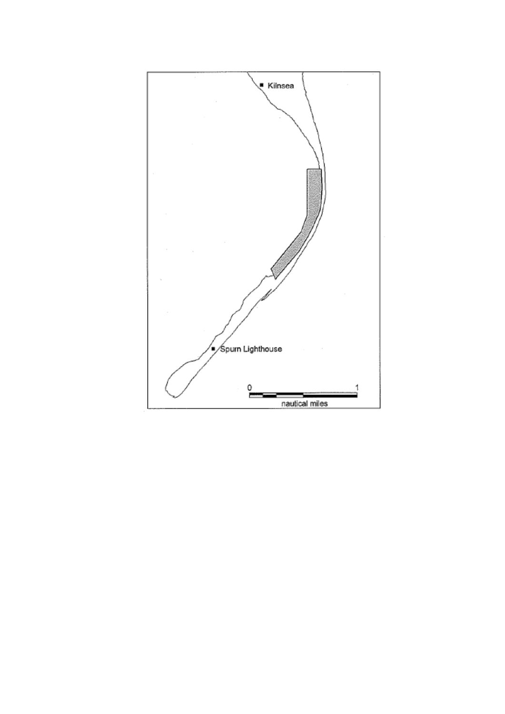